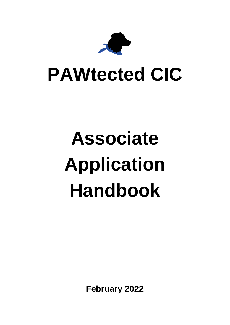

## **PAWtected CIC**

# **Associate Application Handbook**

**February 2022**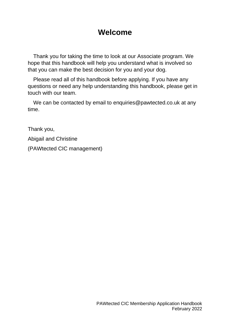## **Welcome**

Thank you for taking the time to look at our Associate program. We hope that this handbook will help you understand what is involved so that you can make the best decision for you and your dog.

Please read all of this handbook before applying. If you have any questions or need any help understanding this handbook, please get in touch with our team.

We can be contacted by email to enquiries@pawtected.co.uk at any time.

Thank you,

Abigail and Christine

(PAWtected CIC management)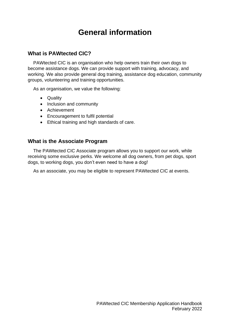## **General information**

## **What is PAWtected CIC?**

PAWtected CIC is an organisation who help owners train their own dogs to become assistance dogs. We can provide support with training, advocacy, and working. We also provide general dog training, assistance dog education, community groups, volunteering and training opportunities.

As an organisation, we value the following:

- Quality
- Inclusion and community
- Achievement
- Encouragement to fulfil potential
- Ethical training and high standards of care.

### **What is the Associate Program**

The PAWtected CIC Associate program allows you to support our work, while receiving some exclusive perks. We welcome all dog owners, from pet dogs, sport dogs, to working dogs, you don't even need to have a dog!

As an associate, you may be eligible to represent PAWtected CIC at events.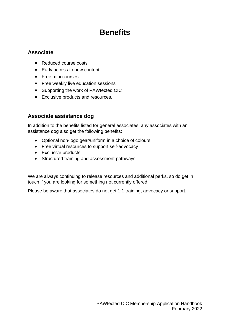## **Benefits**

## **Associate**

- Reduced course costs
- Early access to new content
- Free mini courses
- Free weekly live education sessions
- Supporting the work of PAWtected CIC
- Exclusive products and resources.

## **Associate assistance dog**

In addition to the benefits listed for general associates, any associates with an assistance dog also get the following benefits:

- Optional non-logo gear/uniform in a choice of colours
- Free virtual resources to support self-advocacy
- Exclusive products
- Structured training and assessment pathways

We are always continuing to release resources and additional perks, so do get in touch if you are looking for something not currently offered.

Please be aware that associates do not get 1:1 training, advocacy or support.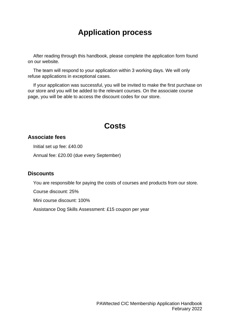## **Application process**

After reading through this handbook, please complete the application form found on our website.

The team will respond to your application within 3 working days. We will only refuse applications in exceptional cases.

If your application was successful, you will be invited to make the first purchase on our store and you will be added to the relevant courses. On the associate course page, you will be able to access the discount codes for our store.

## **Costs**

### **Associate fees**

Initial set up fee: £40.00

Annual fee: £20.00 (due every September)

### **Discounts**

You are responsible for paying the costs of courses and products from our store.

Course discount: 25%

Mini course discount: 100%

Assistance Dog Skills Assessment: £15 coupon per year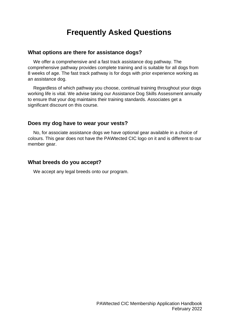## **Frequently Asked Questions**

#### **What options are there for assistance dogs?**

We offer a comprehensive and a fast track assistance dog pathway. The comprehensive pathway provides complete training and is suitable for all dogs from 8 weeks of age. The fast track pathway is for dogs with prior experience working as an assistance dog.

Regardless of which pathway you choose, continual training throughout your dogs working life is vital. We advise taking our Assistance Dog Skills Assessment annually to ensure that your dog maintains their training standards. Associates get a significant discount on this course.

#### **Does my dog have to wear your vests?**

No, for associate assistance dogs we have optional gear available in a choice of colours. This gear does not have the PAWtected CIC logo on it and is different to our member gear.

#### **What breeds do you accept?**

We accept any legal breeds onto our program.